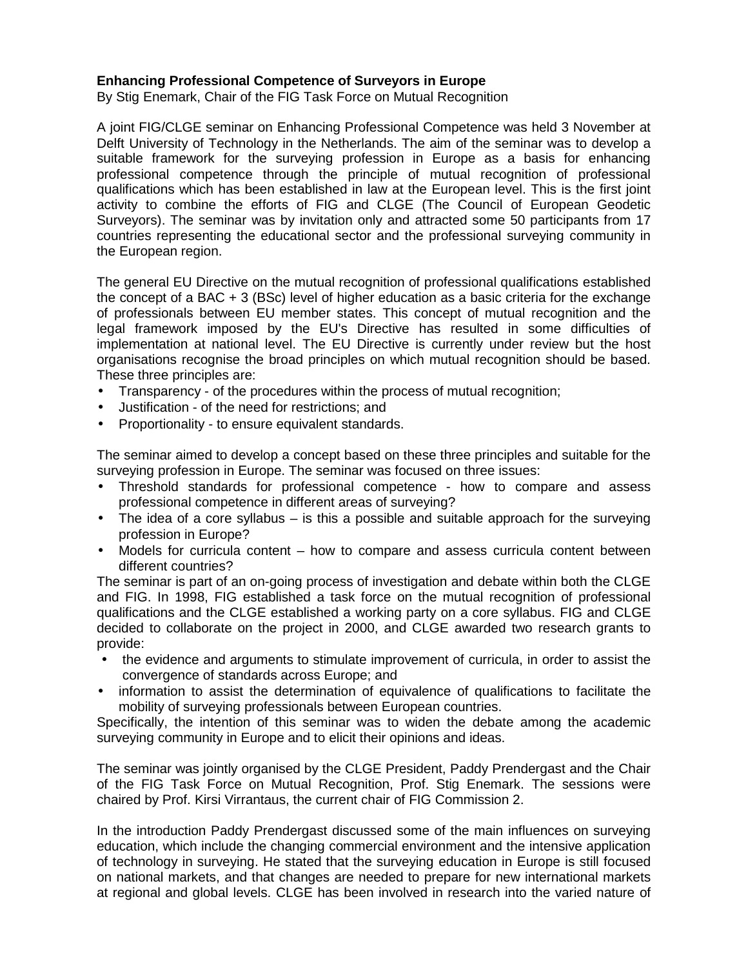## **Enhancing Professional Competence of Surveyors in Europe**

By Stig Enemark, Chair of the FIG Task Force on Mutual Recognition

A joint FIG/CLGE seminar on Enhancing Professional Competence was held 3 November at Delft University of Technology in the Netherlands. The aim of the seminar was to develop a suitable framework for the surveying profession in Europe as a basis for enhancing professional competence through the principle of mutual recognition of professional qualifications which has been established in law at the European level. This is the first joint activity to combine the efforts of FIG and CLGE (The Council of European Geodetic Surveyors). The seminar was by invitation only and attracted some 50 participants from 17 countries representing the educational sector and the professional surveying community in the European region.

The general EU Directive on the mutual recognition of professional qualifications established the concept of a BAC + 3 (BSc) level of higher education as a basic criteria for the exchange of professionals between EU member states. This concept of mutual recognition and the legal framework imposed by the EU's Directive has resulted in some difficulties of implementation at national level. The EU Directive is currently under review but the host organisations recognise the broad principles on which mutual recognition should be based. These three principles are:

- Transparency of the procedures within the process of mutual recognition;
- Justification of the need for restrictions; and
- Proportionality to ensure equivalent standards.

The seminar aimed to develop a concept based on these three principles and suitable for the surveying profession in Europe. The seminar was focused on three issues:

- Threshold standards for professional competence how to compare and assess professional competence in different areas of surveying?
- The idea of a core syllabus is this a possible and suitable approach for the surveying profession in Europe?
- Models for curricula content how to compare and assess curricula content between different countries?

The seminar is part of an on-going process of investigation and debate within both the CLGE and FIG. In 1998, FIG established a task force on the mutual recognition of professional qualifications and the CLGE established a working party on a core syllabus. FIG and CLGE decided to collaborate on the project in 2000, and CLGE awarded two research grants to provide:

- the evidence and arguments to stimulate improvement of curricula, in order to assist the convergence of standards across Europe; and
- information to assist the determination of equivalence of qualifications to facilitate the mobility of surveying professionals between European countries.

Specifically, the intention of this seminar was to widen the debate among the academic surveying community in Europe and to elicit their opinions and ideas.

The seminar was jointly organised by the CLGE President, Paddy Prendergast and the Chair of the FIG Task Force on Mutual Recognition, Prof. Stig Enemark. The sessions were chaired by Prof. Kirsi Virrantaus, the current chair of FIG Commission 2.

In the introduction Paddy Prendergast discussed some of the main influences on surveying education, which include the changing commercial environment and the intensive application of technology in surveying. He stated that the surveying education in Europe is still focused on national markets, and that changes are needed to prepare for new international markets at regional and global levels. CLGE has been involved in research into the varied nature of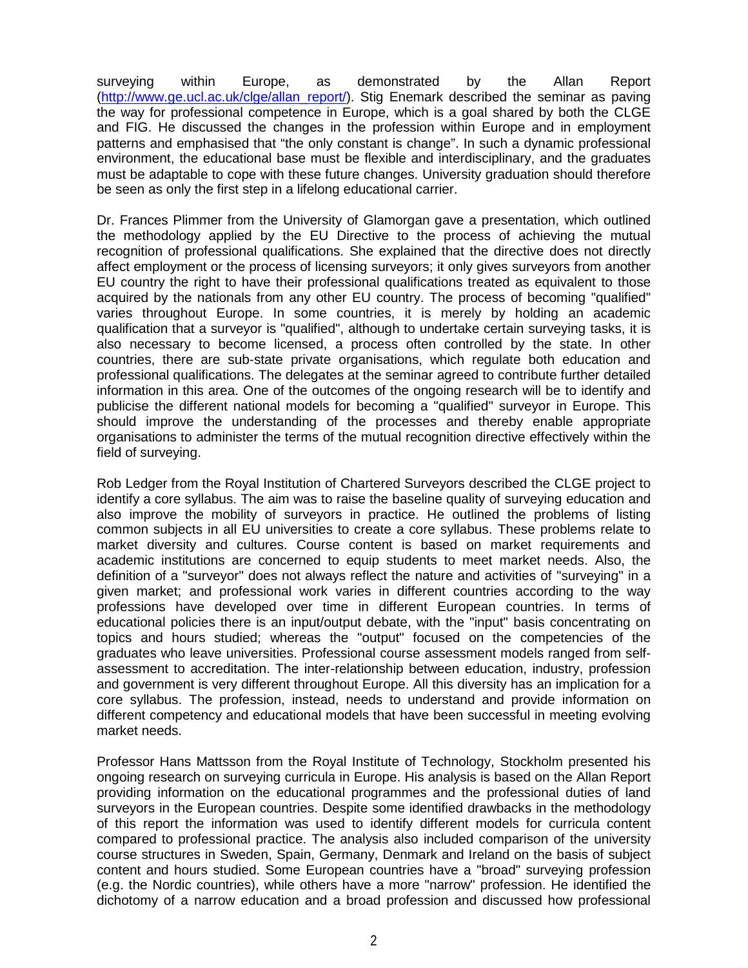surveying within Europe, as demonstrated by the Allan Report (http://www.ge.ucl.ac.uk/clge/allan\_report/). Stig Enemark described the seminar as paving the way for professional competence in Europe, which is a goal shared by both the CLGE and FIG. He discussed the changes in the profession within Europe and in employment patterns and emphasised that "the only constant is change". In such a dynamic professional environment, the educational base must be flexible and interdisciplinary, and the graduates must be adaptable to cope with these future changes. University graduation should therefore be seen as only the first step in a lifelong educational carrier.

Dr. Frances Plimmer from the University of Glamorgan gave a presentation, which outlined the methodology applied by the EU Directive to the process of achieving the mutual recognition of professional qualifications. She explained that the directive does not directly affect employment or the process of licensing surveyors; it only gives surveyors from another EU country the right to have their professional qualifications treated as equivalent to those acquired by the nationals from any other EU country. The process of becoming "qualified" varies throughout Europe. In some countries, it is merely by holding an academic qualification that a surveyor is "qualified", although to undertake certain surveying tasks, it is also necessary to become licensed, a process often controlled by the state. In other countries, there are sub-state private organisations, which regulate both education and professional qualifications. The delegates at the seminar agreed to contribute further detailed information in this area. One of the outcomes of the ongoing research will be to identify and publicise the different national models for becoming a "qualified" surveyor in Europe. This should improve the understanding of the processes and thereby enable appropriate organisations to administer the terms of the mutual recognition directive effectively within the field of surveying.

Rob Ledger from the Royal Institution of Chartered Surveyors described the CLGE project to identify a core syllabus. The aim was to raise the baseline quality of surveying education and also improve the mobility of surveyors in practice. He outlined the problems of listing common subjects in all EU universities to create a core syllabus. These problems relate to market diversity and cultures. Course content is based on market requirements and academic institutions are concerned to equip students to meet market needs. Also, the definition of a "surveyor" does not always reflect the nature and activities of "surveying" in a given market; and professional work varies in different countries according to the way professions have developed over time in different European countries. In terms of educational policies there is an input/output debate, with the "input" basis concentrating on topics and hours studied; whereas the "output" focused on the competencies of the graduates who leave universities. Professional course assessment models ranged from selfassessment to accreditation. The inter-relationship between education, industry, profession and government is very different throughout Europe. All this diversity has an implication for a core syllabus. The profession, instead, needs to understand and provide information on different competency and educational models that have been successful in meeting evolving market needs.

Professor Hans Mattsson from the Royal Institute of Technology, Stockholm presented his ongoing research on surveying curricula in Europe. His analysis is based on the Allan Report providing information on the educational programmes and the professional duties of land surveyors in the European countries. Despite some identified drawbacks in the methodology of this report the information was used to identify different models for curricula content compared to professional practice. The analysis also included comparison of the university course structures in Sweden, Spain, Germany, Denmark and Ireland on the basis of subject content and hours studied. Some European countries have a "broad" surveying profession (e.g. the Nordic countries), while others have a more "narrow" profession. He identified the dichotomy of a narrow education and a broad profession and discussed how professional